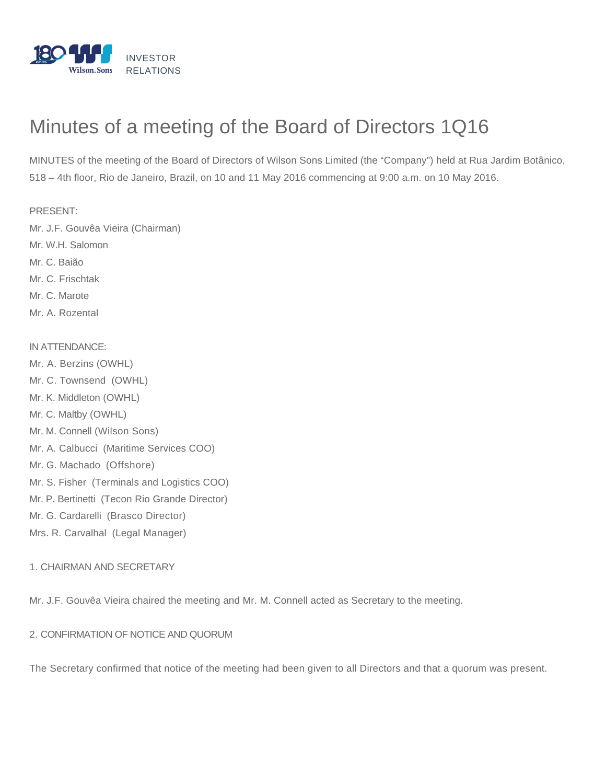

# Minutes of a meeting of the Board of Directors 1Q16

MINUTES of the meeting of the Board of Directors of Wilson Sons Limited (the "Company") held at Rua Jardim Botânico, 518 – 4th floor, Rio de Janeiro, Brazil, on 10 and 11 May 2016 commencing at 9:00 a.m. on 10 May 2016.

PRESENT:

- Mr. J.F. Gouvêa Vieira (Chairman)
- Mr. W.H. Salomon
- Mr. C. Baião
- Mr. C. Frischtak
- Mr. C. Marote
- Mr. A. Rozental

### IN ATTENDANCE:

Mr. A. Berzins (OWHL) Mr. C. Townsend (OWHL) Mr. K. Middleton (OWHL) Mr. C. Maltby (OWHL) Mr. M. Connell (Wilson Sons) Mr. A. Calbucci (Maritime Services COO) Mr. G. Machado (Offshore) Mr. S. Fisher (Terminals and Logistics COO) Mr. P. Bertinetti (Tecon Rio Grande Director) Mr. G. Cardarelli (Brasco Director) Mrs. R. Carvalhal (Legal Manager)

## 1. CHAIRMAN AND SECRETARY

Mr. J.F. Gouvêa Vieira chaired the meeting and Mr. M. Connell acted as Secretary to the meeting.

## 2. CONFIRMATION OF NOTICE AND QUORUM

The Secretary confirmed that notice of the meeting had been given to all Directors and that a quorum was present.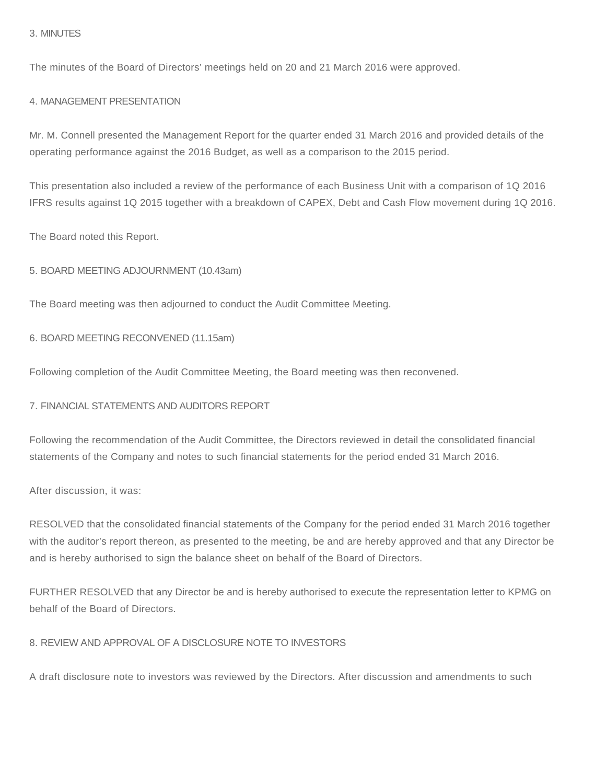### 3. MINUTES

The minutes of the Board of Directors' meetings held on 20 and 21 March 2016 were approved.

#### 4. MANAGEMENT PRESENTATION

Mr. M. Connell presented the Management Report for the quarter ended 31 March 2016 and provided details of the operating performance against the 2016 Budget, as well as a comparison to the 2015 period.

This presentation also included a review of the performance of each Business Unit with a comparison of 1Q 2016 IFRS results against 1Q 2015 together with a breakdown of CAPEX, Debt and Cash Flow movement during 1Q 2016.

The Board noted this Report.

5. BOARD MEETING ADJOURNMENT (10.43am)

The Board meeting was then adjourned to conduct the Audit Committee Meeting.

6. BOARD MEETING RECONVENED (11.15am)

Following completion of the Audit Committee Meeting, the Board meeting was then reconvened.

7. FINANCIAL STATEMENTS AND AUDITORS REPORT

Following the recommendation of the Audit Committee, the Directors reviewed in detail the consolidated financial statements of the Company and notes to such financial statements for the period ended 31 March 2016.

After discussion, it was:

RESOLVED that the consolidated financial statements of the Company for the period ended 31 March 2016 together with the auditor's report thereon, as presented to the meeting, be and are hereby approved and that any Director be and is hereby authorised to sign the balance sheet on behalf of the Board of Directors.

FURTHER RESOLVED that any Director be and is hereby authorised to execute the representation letter to KPMG on behalf of the Board of Directors.

8. REVIEW AND APPROVAL OF A DISCLOSURE NOTE TO INVESTORS

A draft disclosure note to investors was reviewed by the Directors. After discussion and amendments to such